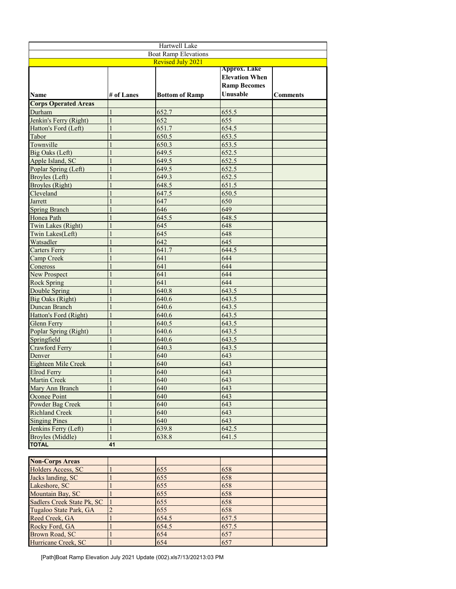| Hartwell Lake                    |                |                       |                       |                 |  |  |
|----------------------------------|----------------|-----------------------|-----------------------|-----------------|--|--|
| <b>Boat Ramp Elevations</b>      |                |                       |                       |                 |  |  |
| <b>Revised July 2021</b>         |                |                       |                       |                 |  |  |
|                                  |                |                       | <b>Approx. Lake</b>   |                 |  |  |
|                                  |                |                       | <b>Elevation When</b> |                 |  |  |
|                                  |                |                       | <b>Ramp Becomes</b>   |                 |  |  |
| <b>Name</b>                      | # of Lanes     | <b>Bottom of Ramp</b> | Unusable              | <b>Comments</b> |  |  |
| <b>Corps Operated Areas</b>      |                |                       |                       |                 |  |  |
| Durham                           |                | 652.7                 | 655.5                 |                 |  |  |
| Jenkin's Ferry (Right)           |                | 652                   | 655                   |                 |  |  |
| Hatton's Ford (Left)             |                | 651.7                 | 654.5                 |                 |  |  |
| Tabor                            |                | 650.5                 | 653.5                 |                 |  |  |
| Townville                        |                | 650.3                 | 653.5                 |                 |  |  |
| Big Oaks (Left)                  | 1              | 649.5                 | 652.5                 |                 |  |  |
| Apple Island, SC                 |                | 649.5                 | 652.5                 |                 |  |  |
| Poplar Spring (Left)             |                | 649.5                 | 652.5                 |                 |  |  |
| Broyles (Left)                   |                | 649.3                 | 652.5                 |                 |  |  |
| <b>Broyles</b> (Right)           |                | 648.5                 | 651.5                 |                 |  |  |
| Cleveland                        |                | 647.5                 | 650.5                 |                 |  |  |
| Jarrett                          |                | 647                   | 650                   |                 |  |  |
| <b>Spring Branch</b>             |                | 646                   | 649                   |                 |  |  |
| Honea Path                       |                | 645.5                 | 648.5                 |                 |  |  |
| Twin Lakes (Right)               |                | 645                   | 648                   |                 |  |  |
| Twin Lakes(Left)                 |                | 645                   | 648                   |                 |  |  |
| Watsadler                        |                | 642                   | 645                   |                 |  |  |
| <b>Carters Ferry</b>             |                | 641.7                 | 644.5                 |                 |  |  |
| Camp Creek                       |                | 641                   | 644                   |                 |  |  |
| Coneross                         |                | 641                   | 644                   |                 |  |  |
| New Prospect                     |                | 641                   | 644                   |                 |  |  |
| <b>Rock Spring</b>               |                | 641                   | 644                   |                 |  |  |
| Double Spring                    |                | 640.8                 | 643.5                 |                 |  |  |
| <b>Big Oaks (Right)</b>          |                | 640.6                 | 643.5                 |                 |  |  |
| Duncan Branch                    |                | 640.6                 | 643.5                 |                 |  |  |
| Hatton's Ford (Right)            |                | 640.6                 | 643.5                 |                 |  |  |
| Glenn Ferry                      |                | 640.5                 | 643.5                 |                 |  |  |
| Poplar Spring (Right)            |                | 640.6                 | 643.5                 |                 |  |  |
| Springfield                      |                | 640.6                 | 643.5                 |                 |  |  |
| Crawford Ferry                   |                | 640.3                 | 643.5                 |                 |  |  |
| Denver                           |                | 640                   | 643                   |                 |  |  |
| Eighteen Mile Creek              |                | 640                   | 643                   |                 |  |  |
| Elrod Ferry                      |                | 640                   | 643                   |                 |  |  |
| <b>Martin Creek</b>              | 1              | 640                   | 643                   |                 |  |  |
| Mary Ann Branch                  |                | 640                   | 643                   |                 |  |  |
| Oconee Point                     |                | 640                   | 643                   |                 |  |  |
| Powder Bag Creek                 |                | 640                   | 643                   |                 |  |  |
| <b>Richland Creek</b>            | 1              | 640<br>640            | 643<br>643            |                 |  |  |
| <b>Singing Pines</b>             | 1              |                       |                       |                 |  |  |
| Jenkins Ferry (Left)             |                | 639.8                 | 642.5                 |                 |  |  |
| Broyles (Middle)<br><b>TOTAL</b> | 41             | 638.8                 | 641.5                 |                 |  |  |
|                                  |                |                       |                       |                 |  |  |
| <b>Non-Corps Areas</b>           |                |                       |                       |                 |  |  |
| Holders Access, SC               | 1              | 655                   | 658                   |                 |  |  |
| Jacks landing, SC                | $\mathbf{1}$   | 655                   | 658                   |                 |  |  |
| Lakeshore, SC                    |                | 655                   | 658                   |                 |  |  |
| Mountain Bay, SC                 | 1              | 655                   | 658                   |                 |  |  |
| Sadlers Creek State Pk, SC       |                | 655                   | 658                   |                 |  |  |
| Tugaloo State Park, GA           | $\overline{2}$ | 655                   | 658                   |                 |  |  |
| Reed Creek, GA                   | 1              | 654.5                 | 657.5                 |                 |  |  |
| Rocky Ford, GA                   |                | 654.5                 | 657.5                 |                 |  |  |
| Brown Road, SC                   |                | 654                   | 657                   |                 |  |  |
| Hurricane Creek, SC              | $\mathbf{1}$   | 654                   | 657                   |                 |  |  |
|                                  |                |                       |                       |                 |  |  |

[Path]Boat Ramp Elevation July 2021 Update (002).xls7/13/20213:03 PM